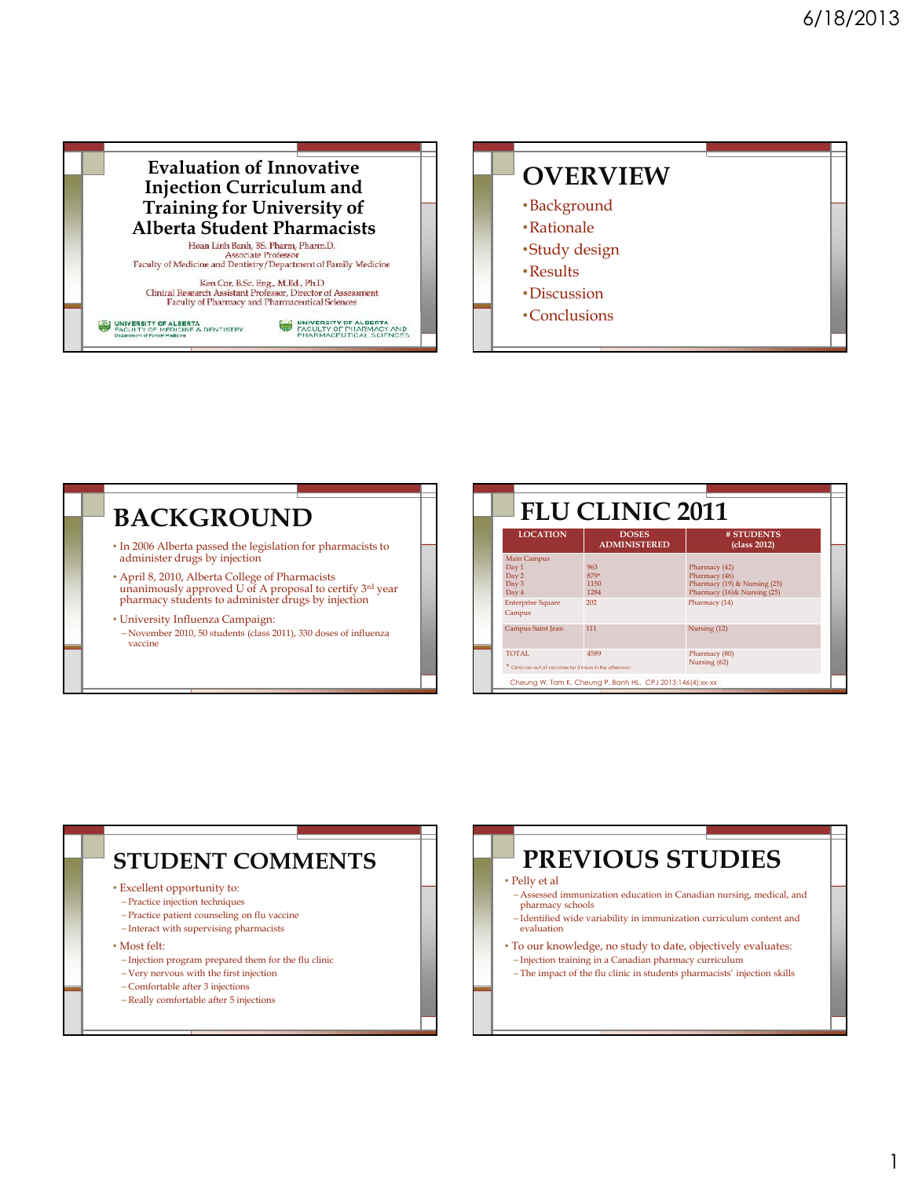

#### **BACKGROUND**

- In 2006 Alberta passed the legislation for pharmacists to administer drugs by injection
- April 8, 2010, Alberta College of Pharmacists unanimously approved U of A proposal to certify 3<sup>rd</sup> year pharmacy students to administer drugs by injection
- University Influenza Campaign: – November 2010, 50 students (class 2011), 330 doses of influenza vaccine

| <b>FLU CLINIC 2011</b>                                              |                                                           |                                                                                                |  |
|---------------------------------------------------------------------|-----------------------------------------------------------|------------------------------------------------------------------------------------------------|--|
| <b>LOCATION</b>                                                     | <b>DOSES</b><br><b>ADMINISTERED</b>                       | # STUDENTS<br>(class 2012)                                                                     |  |
| <b>Main Campus</b><br>Day 1<br>Day 2<br>Day 3<br>Day 4              | 963<br>879*<br>1150<br>1284                               | Pharmacy (42)<br>Pharmacy (46)<br>Pharmacy (19) & Nursing (25)<br>Pharmacy (16) & Nursing (25) |  |
| <b>Enterprise Square</b><br>Campus                                  | 202                                                       | Pharmacy (14)                                                                                  |  |
| Campus Saint Jean                                                   | 111                                                       | Nursing (12)                                                                                   |  |
| TOTAL.<br>* Clinic ran out of vaccines for 3 hours in the afternoon | 4589                                                      | Pharmacy (80)<br>Nursing (62)                                                                  |  |
|                                                                     | Cheung W, Tam K, Cheung P, Banh HL. CPJ 2013;146(4);xx-xx |                                                                                                |  |

#### **STUDENT COMMENTS**

- Excellent opportunity to:
- Practice injection techniques
- Practice patient counseling on flu vaccine
- Interact with supervising pharmacists
- Most felt:
- Injection program prepared them for the flu clinic
- Very nervous with the first injection
- Comfortable after 3 injections
- Really comfortable after 5 injections

## **PREVIOUS STUDIES**

#### • Pelly et al

- Assessed immunization education in Canadian nursing, medical, and pharmacy schools
- Identified wide variability in immunization curriculum content and evaluation
- To our knowledge, no study to date, objectively evaluates: – Injection training in a Canadian pharmacy curriculum
- The impact of the flu clinic in students pharmacists' injection skills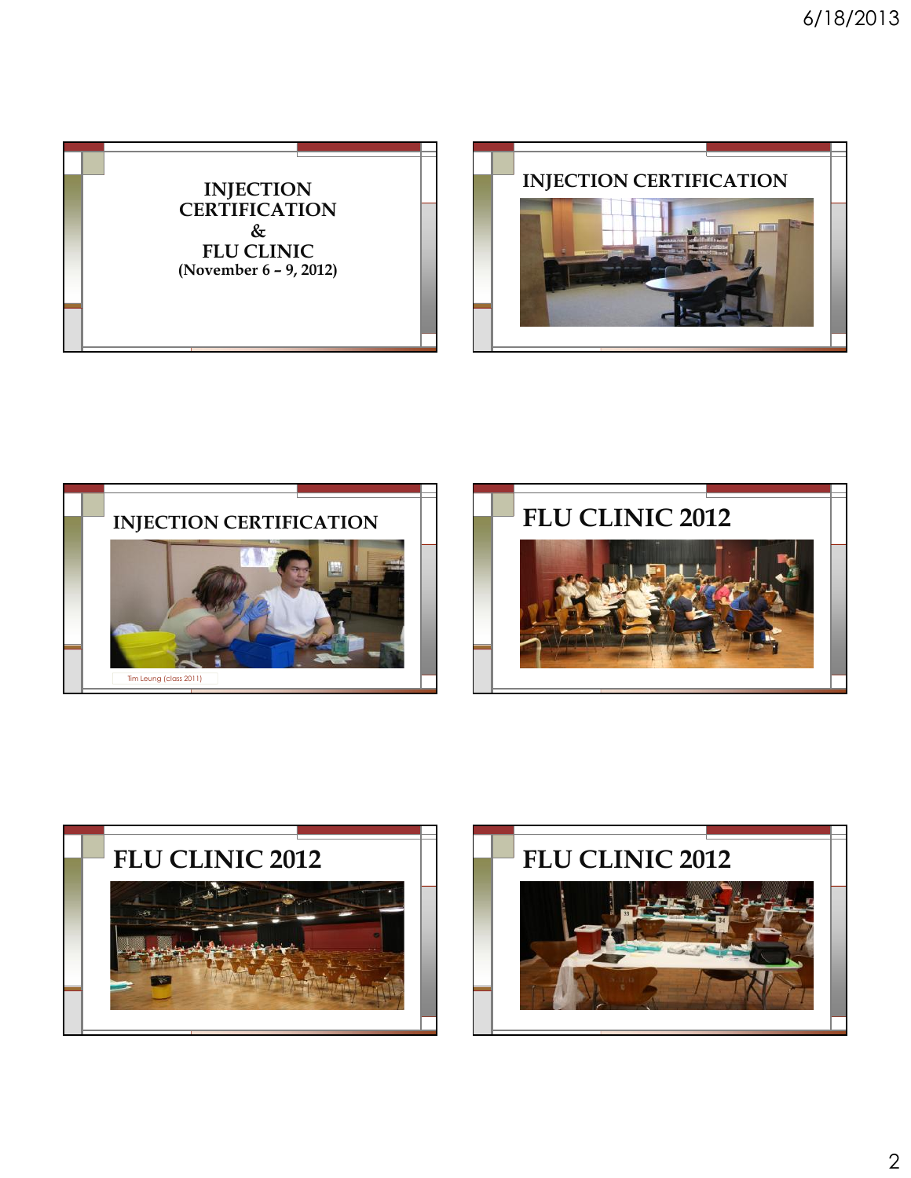









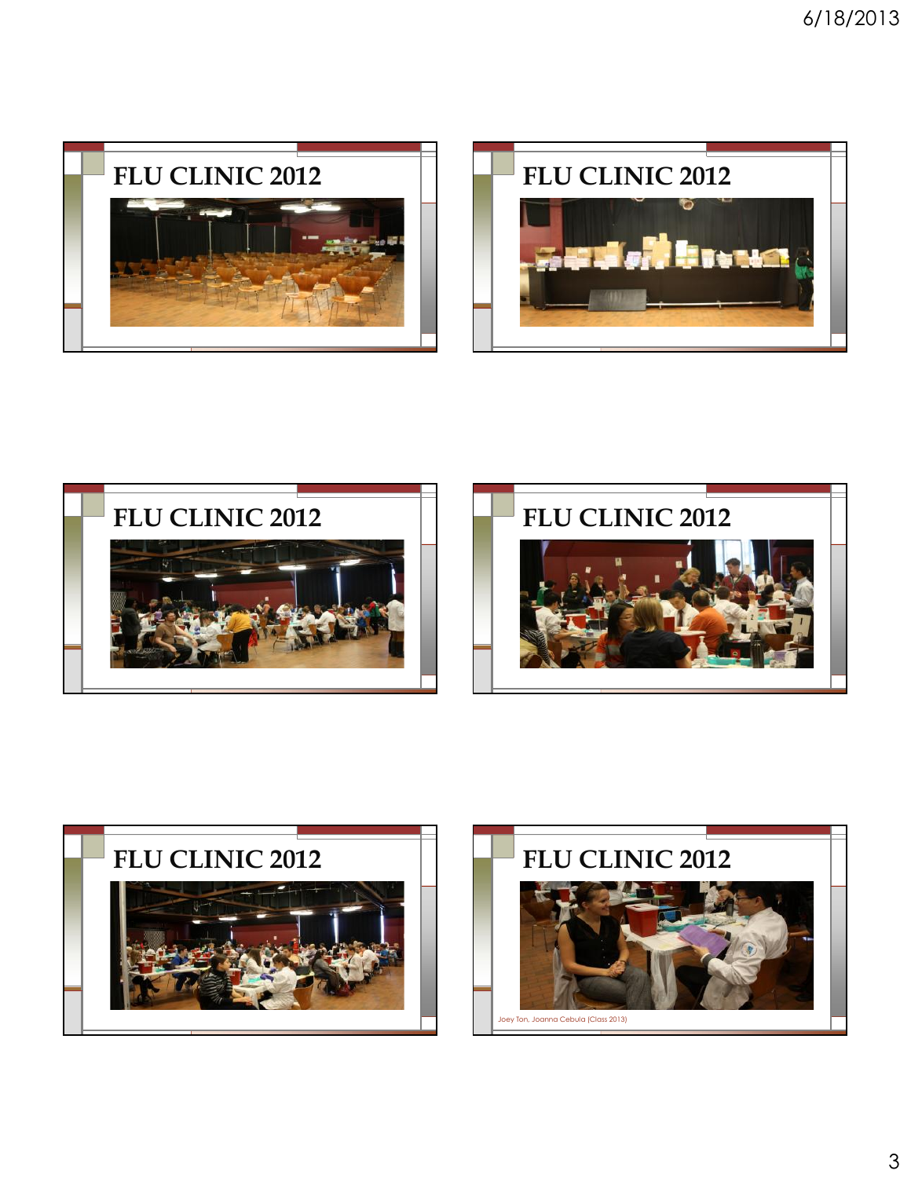









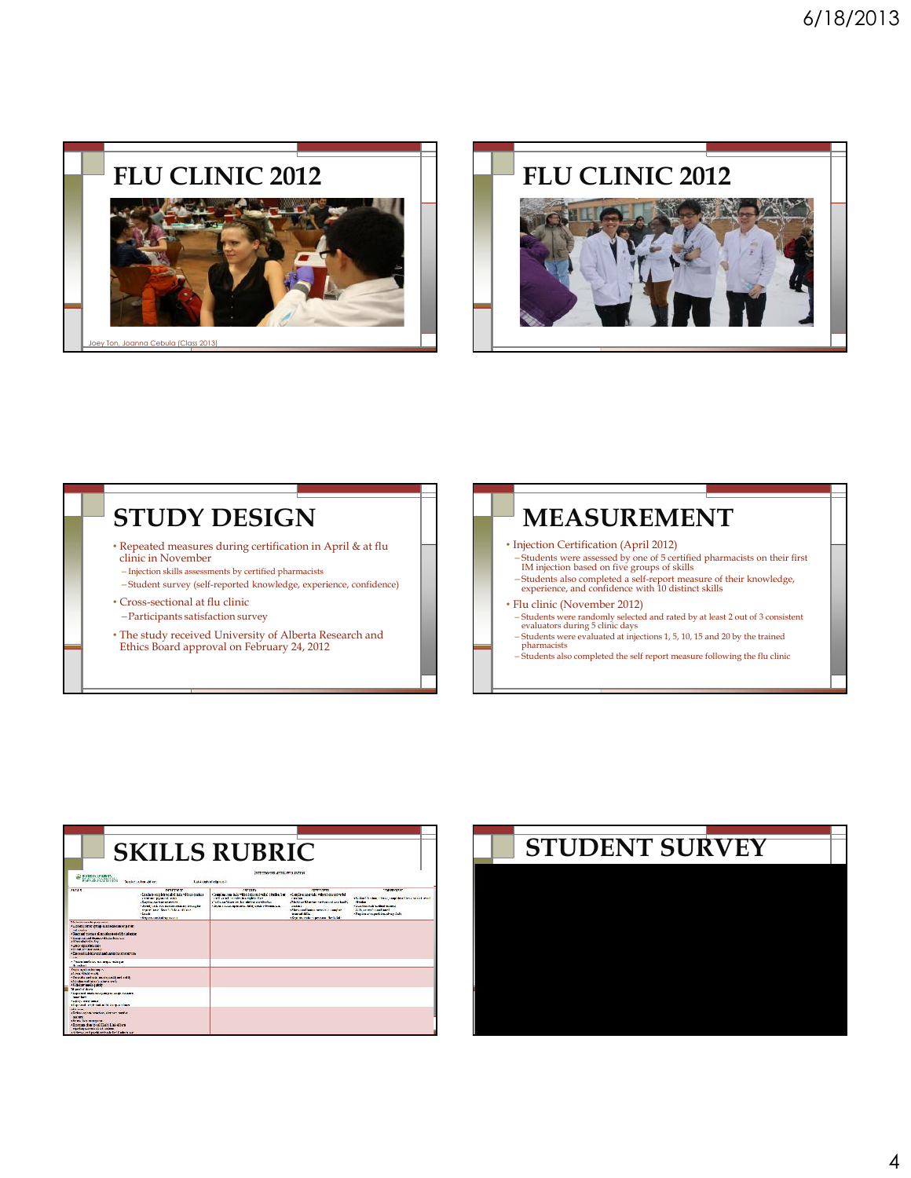





| PRINTED STATES                                                                                                                                                                                                                                                                                                                                                                                                     | Scolar in the office:                                                                                                                                                                                                                                               | <b>SKILLS RUBRIC</b><br>instructions to Jacob, FRAI ANTIQUE<br>Last Automobile Configuration                                                                                                                                                               |                                                                                                                                                                                                                                              |                                                                                                                                                                                    |
|--------------------------------------------------------------------------------------------------------------------------------------------------------------------------------------------------------------------------------------------------------------------------------------------------------------------------------------------------------------------------------------------------------------------|---------------------------------------------------------------------------------------------------------------------------------------------------------------------------------------------------------------------------------------------------------------------|------------------------------------------------------------------------------------------------------------------------------------------------------------------------------------------------------------------------------------------------------------|----------------------------------------------------------------------------------------------------------------------------------------------------------------------------------------------------------------------------------------------|------------------------------------------------------------------------------------------------------------------------------------------------------------------------------------|
| MTIS                                                                                                                                                                                                                                                                                                                                                                                                               | <b>NUTTER</b><br>«Essile » resplitant also have deleted »<br><b>Children Mysteria when</b><br>a suprime not has an entire.<br>- Jered Led, no distinct masses including<br>stated and the children office at<br>$-12400$<br><b><i>Sharehousehol was seen to</i></b> | <b>CONTRACTOR</b><br>Comine no his "Briternings" thebe, be-<br>and continuation in contractor<br>all reference the first product of the state of the control of the control of the control of the con-<br>village a compensation. Said totals information. | <b>FERRY TERM</b><br>-Condes are take ribed started what<br><b>Caralina</b><br>Abelia un'il mi se racine sol anche de-<br><b>Index:</b><br>of her constitution response complete.<br><b>Scientist High</b><br>(Shareholm) manager Media Sale | THE REVENUE<br>all deal is also a long provided their school what<br><b>Streets</b><br>which is index with the state of<br>Alle provide and last 1<br>«Sambato mount bat sharp?ale |
| <b>Marketing market managers</b><br>ALCOHOL: SIDNEY PRODUCED SERVICE BETWEEN<br>and conduct.<br>· Seach and transpare of person as a seated the infection<br>" integrated and thomas of the simplestic rate<br>(Witnesday) also for<br><b>FLEROX REGISTRIBULION</b><br>David an Indianapolis<br>· Decreasing informal and agree the street trac-<br>Sept.<br>"There beefs an out one of state."<br><b>A</b> select |                                                                                                                                                                                                                                                                     |                                                                                                                                                                                                                                                            |                                                                                                                                                                                                                                              |                                                                                                                                                                                    |
| <b>Course in colorador service</b><br><b>Burn Whitewater</b><br>She che starped as an inchest-<br>the total contact contact when the<br>strikker melassiste<br><b>Manufacturer</b>                                                                                                                                                                                                                                 |                                                                                                                                                                                                                                                                     |                                                                                                                                                                                                                                                            |                                                                                                                                                                                                                                              |                                                                                                                                                                                    |
| Concert main to concert community<br><b>Service Service</b><br><b>LAUTE STATISTICS</b><br>Contracted and contracted in the contract change<br>Mile same<br>(Delay private particularly service<br><b>MACHINE</b><br>chines has moreover<br>determined as a subtract this show.<br>rejurking success should certain.<br>a defensa y en Carachie antivade fan 10 ades is sur-                                        |                                                                                                                                                                                                                                                                     |                                                                                                                                                                                                                                                            |                                                                                                                                                                                                                                              |                                                                                                                                                                                    |

# **SKILLS RUBRIC STUDENT SURVEY**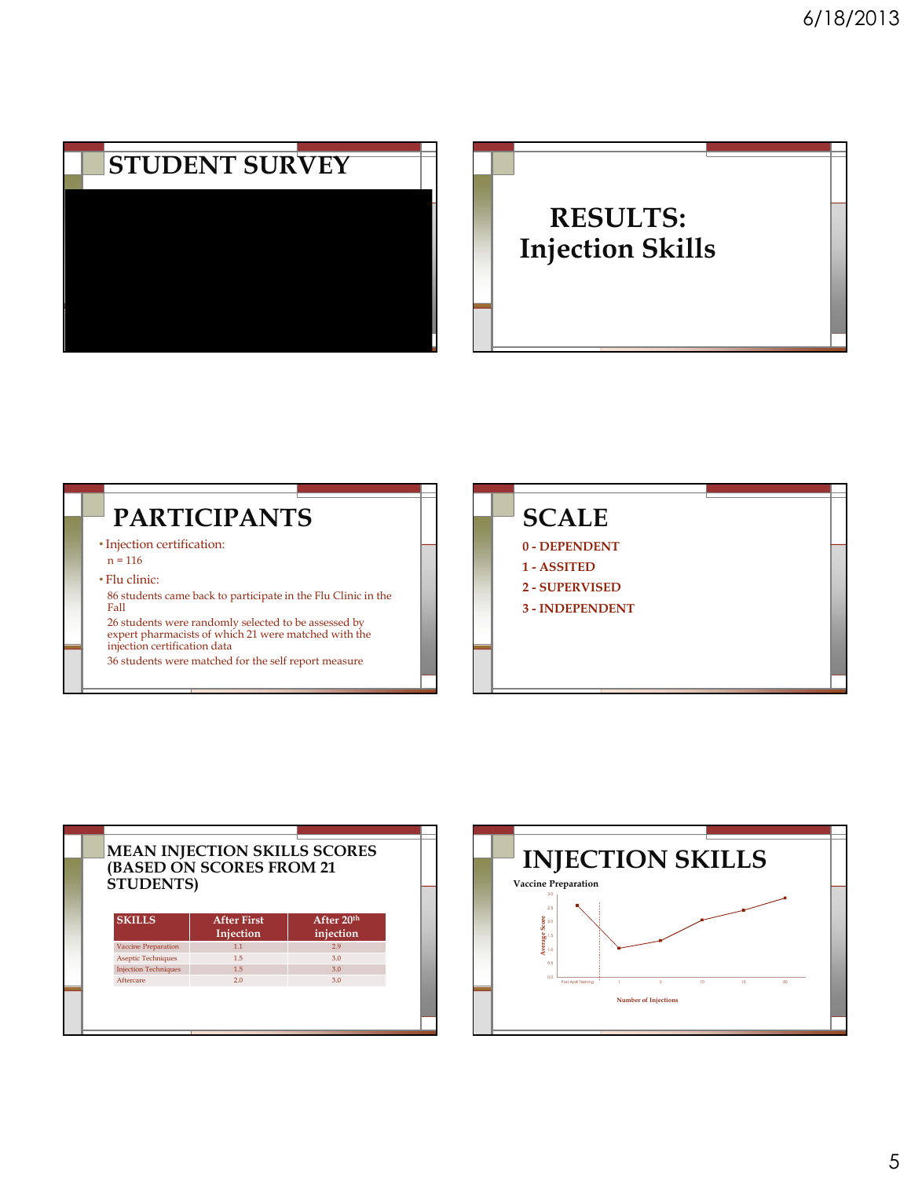





| <b>STUDENTS</b> )           |                                 |                                     |  |  |
|-----------------------------|---------------------------------|-------------------------------------|--|--|
| <b>SKILLS</b>               | <b>After First</b><br>Injection | After 20 <sup>th</sup><br>injection |  |  |
| <b>Vaccine Preparation</b>  | 1.1                             | 2.9                                 |  |  |
| <b>Aseptic Techniques</b>   | 1.5                             | 3.0                                 |  |  |
| <b>Injection Techniques</b> | 1.5                             | 3.0                                 |  |  |
| Aftercare                   | 20                              | 3.0                                 |  |  |

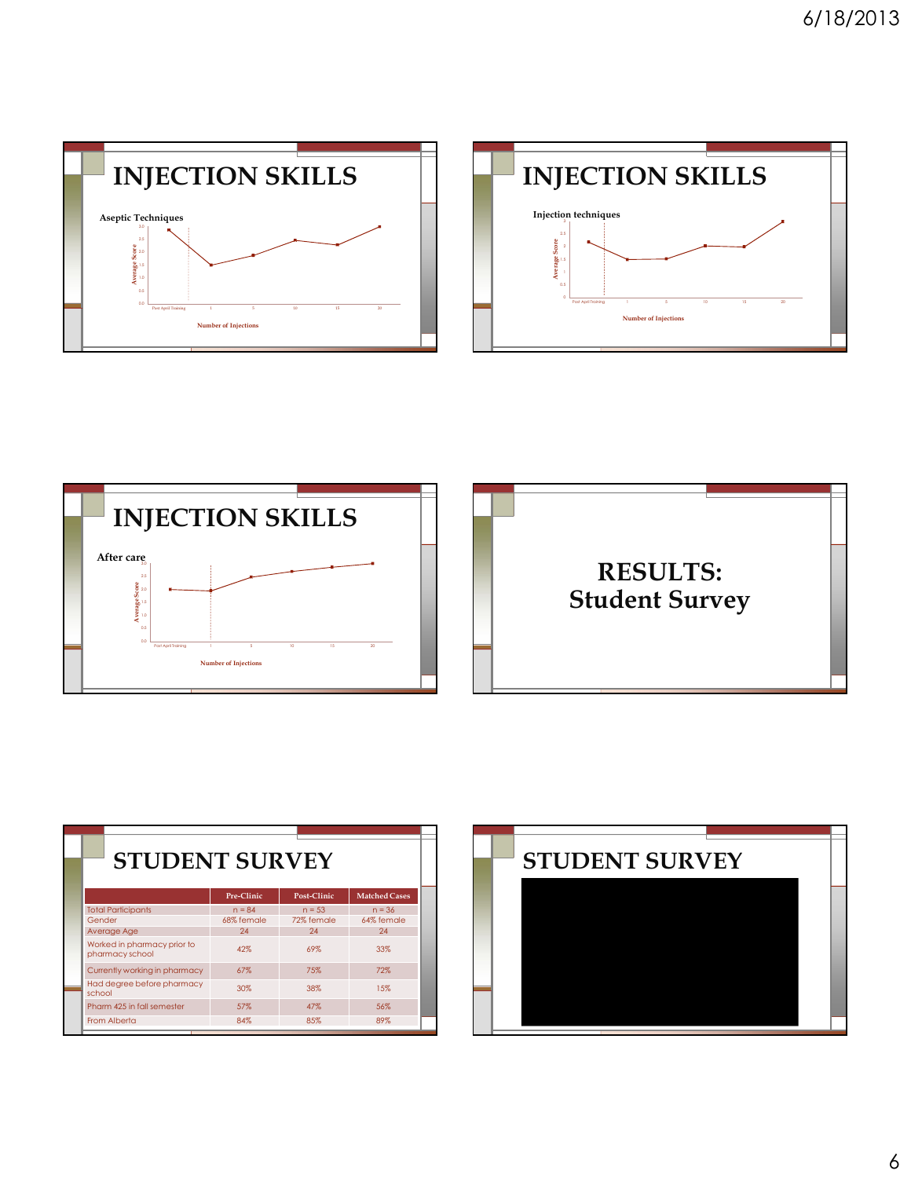





| <b>STUDENT SURVEY</b>                          |            |             |                      |
|------------------------------------------------|------------|-------------|----------------------|
|                                                | Pre-Clinic | Post-Clinic | <b>Matched Cases</b> |
| <b>Total Participants</b>                      | $n = 84$   | $n = 53$    | $n = 36$             |
| Gender                                         | 68% female | 72% female  | 64% female           |
| Average Age                                    | 24         | 24          | 24                   |
| Worked in pharmacy prior to<br>pharmacy school | 42%        | 69%         | 33%                  |
| Currently working in pharmacy                  | 67%        | 75%         | 72%                  |
| Had degree before pharmacy<br>school           | 30%        | 38%         | 15%                  |
| Pharm 425 in fall semester                     | 57%        | 47%         | 56%                  |
| From Alberta                                   | 84%        | 85%         | 89%                  |

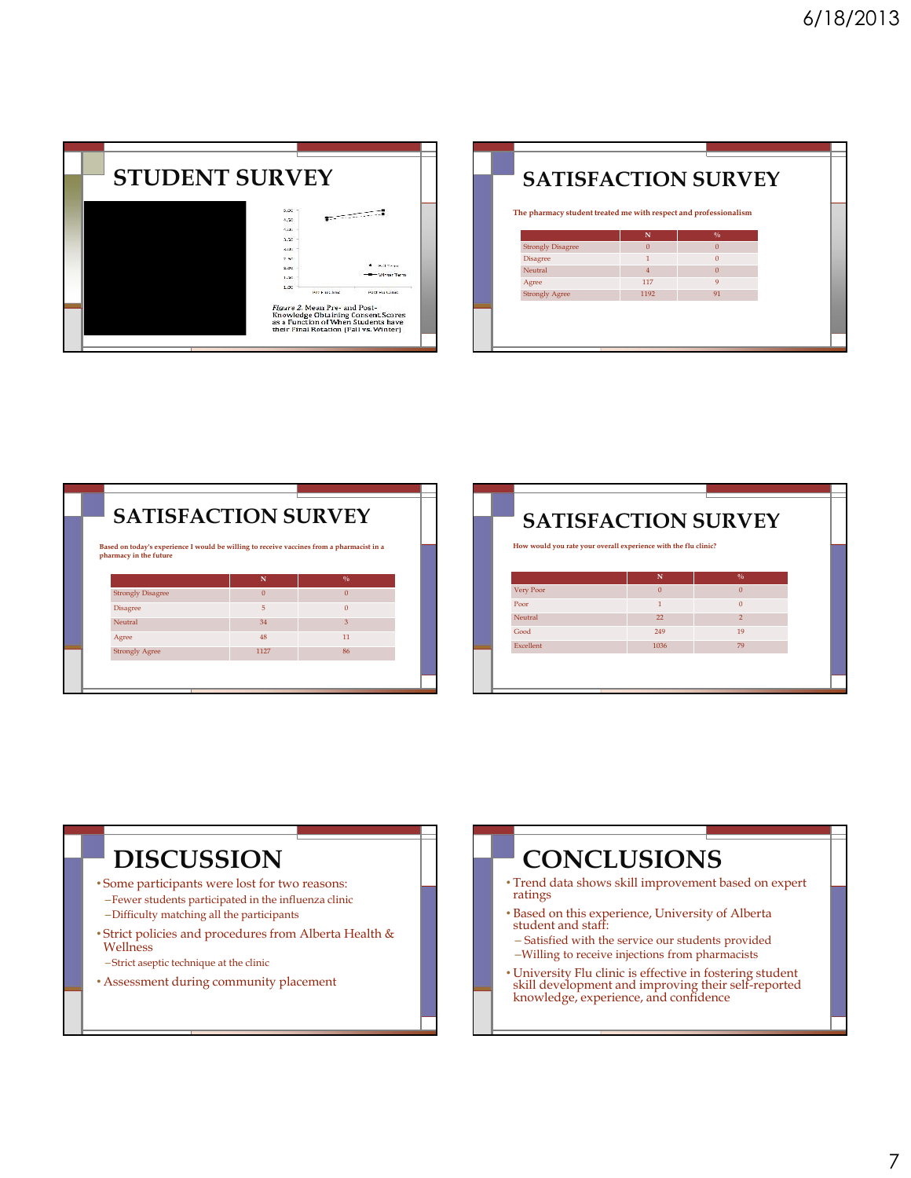| <b>STUDENT SURVEY</b> |                                                                                                                                                                                                         |
|-----------------------|---------------------------------------------------------------------------------------------------------------------------------------------------------------------------------------------------------|
|                       | 5.00<br>5.50<br>CARA.<br>3.50<br><b>ALL</b><br>2.50<br>Mail Corporation<br>2.00<br><b>Heater Tarry</b><br>1.50                                                                                          |
|                       | 1.00<br>Here is a clampe<br><b>HOST HILLION</b><br>Figure 2. Mean Pre- and Post-<br>Knowledge Obtaining Consent Scores<br>as a Function of When Students have<br>their Final Rotation (Fall vs. Winter) |

| <b>SATISFACTION SURVEY</b><br>The pharmacy student treated me with respect and professionalism |                |               |  |
|------------------------------------------------------------------------------------------------|----------------|---------------|--|
|                                                                                                | N              | $\frac{0}{0}$ |  |
| <b>Strongly Disagree</b>                                                                       | $\Omega$       | $\Omega$      |  |
| Disagree                                                                                       |                | $\Omega$      |  |
| Neutral                                                                                        | $\overline{4}$ | $\Omega$      |  |
| Agree                                                                                          | 117            | 9             |  |
| <b>Strongly Agree</b>                                                                          | 1192           | 91            |  |
|                                                                                                |                |               |  |

| <b>Disagree</b>       | <b>Strongly Disagree</b> | N<br>$\Omega$ | $\frac{0}{\alpha}$ |  |
|-----------------------|--------------------------|---------------|--------------------|--|
|                       |                          |               |                    |  |
|                       |                          |               | $\overline{0}$     |  |
|                       |                          | 5             | $\overline{0}$     |  |
| Neutral               |                          | 34            | 3                  |  |
| Agree                 |                          | 48            | 11                 |  |
| <b>Strongly Agree</b> |                          | 1127          | 86                 |  |

| How would you rate your overall experience with the flu clinic? |          |                |  |
|-----------------------------------------------------------------|----------|----------------|--|
|                                                                 |          |                |  |
|                                                                 |          |                |  |
|                                                                 | N        | $\frac{0}{6}$  |  |
| Very Poor                                                       | $\Omega$ | $\Omega$       |  |
| Poor                                                            | 1        | $\Omega$       |  |
| Neutral                                                         | 22       | $\overline{2}$ |  |
| Good                                                            | 249      | 19             |  |
| <b>Excellent</b>                                                | 1036     | 79             |  |

## **DISCUSSION**

- Some participants were lost for two reasons: –Fewer students participated in the influenza clinic –Difficulty matching all the participants
- Strict policies and procedures from Alberta Health & Wellness
- –Strict aseptic technique at the clinic
- Assessment during community placement

## **CONCLUSIONS**

- Trend data shows skill improvement based on expert ratings
- Based on this experience, University of Alberta student and staff:
	- Satisfied with the service our students provided –Willing to receive injections from pharmacists
- University Flu clinic is effective in fostering student skill development and improving their self-reported knowledge, experience, and confidence